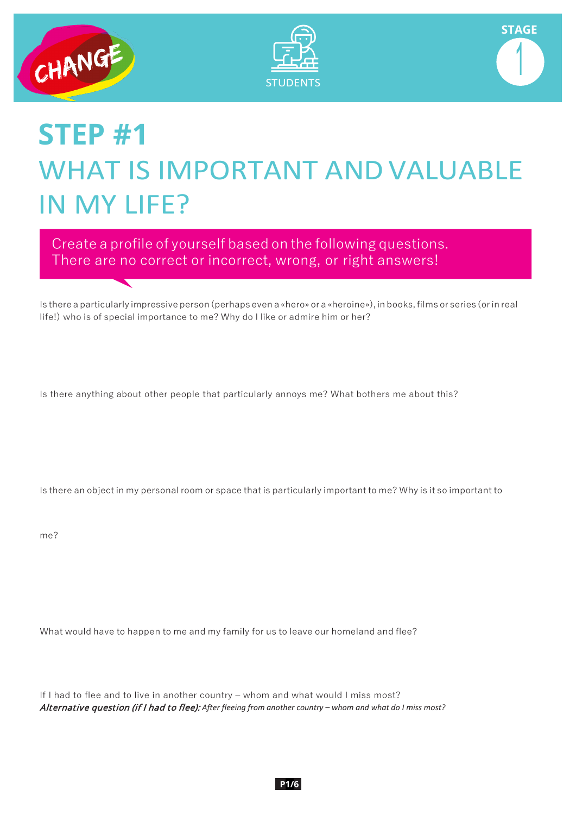

↸





## **STEP #1** WHAT IS IMPORTANT ANDVALUABLE IN MY LIFE?

Create a profile of yourself based on the following questions. There are no correct or incorrect, wrong, or right answers!

Is there a particularly impressive person (perhaps even a «hero» or a «heroine»), in books, films or series (or in real life!) who is of special importance to me? Why do I like or admire him or her?

Is there anything about other people that particularly annoys me? What bothers me about this?

Is there an object in my personal room or space that is particularly important to me? Why is it so important to

me?

What would have to happen to me and my family for us to leave our homeland and flee?

If I had to flee and to live in another country – whom and what would I miss most? Alternative question (if I had to flee): *After fleeing from another country – whom and what do I miss most?*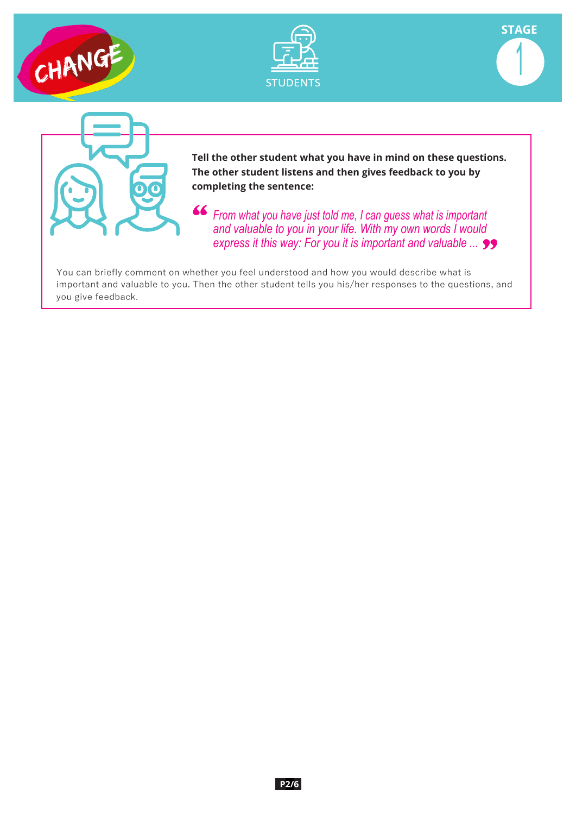







**Tell the other student what you have in mind on these questions. The other student listens and then gives feedback to you by completing the sentence:**

*From what you have just told me, I can guess what is important and valuable to you in your life. With my own words I would express it this way: For you it is important and valuable ...*

You can briefly comment on whether you feel understood and how you would describe what is important and valuable to you. Then the other student tells you his/her responses to the questions, and you give feedback.

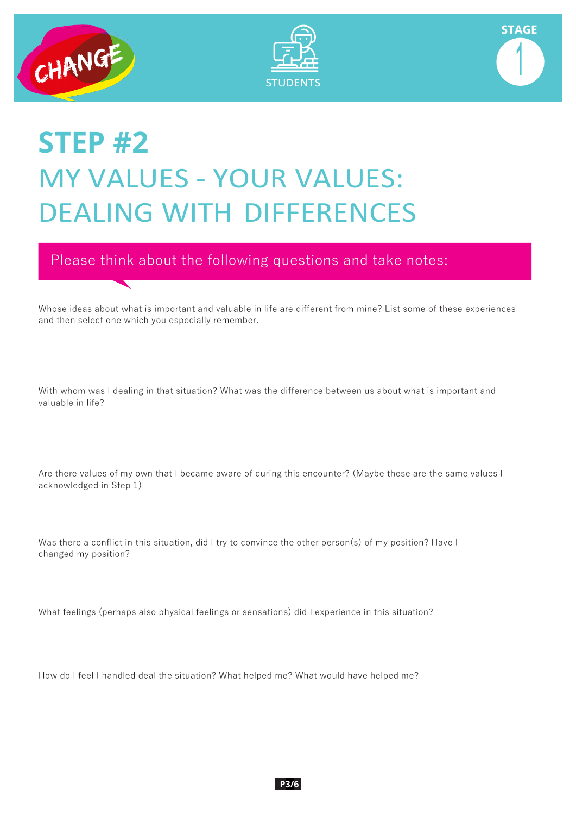

ᢏ





# **STEP #2** MY VALUES - YOUR VALUES: DEALING WITH DIFFERENCES

Please think about the following questions and take notes:

Whose ideas about what is important and valuable in life are different from mine? List some of these experiences and then select one which you especially remember.

With whom was I dealing in that situation? What was the difference between us about what is important and valuable in life?

Are there values of my own that I became aware of during this encounter? (Maybe these are the same values I acknowledged in Step 1)

Was there a conflict in this situation, did I try to convince the other person(s) of my position? Have I changed my position?

What feelings (perhaps also physical feelings or sensations) did I experience in this situation?

How do I feel I handled deal the situation? What helped me? What would have helped me?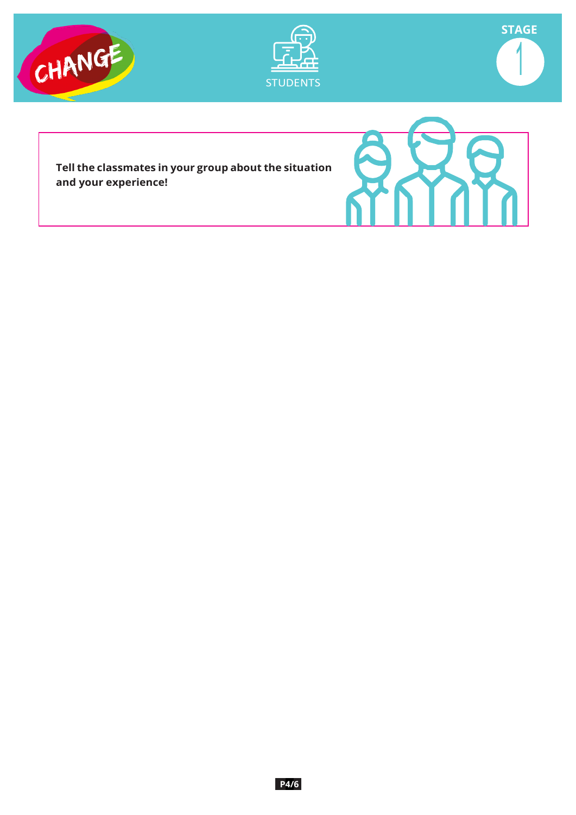





**Tell the classmates in your group about the situation and your experience!**

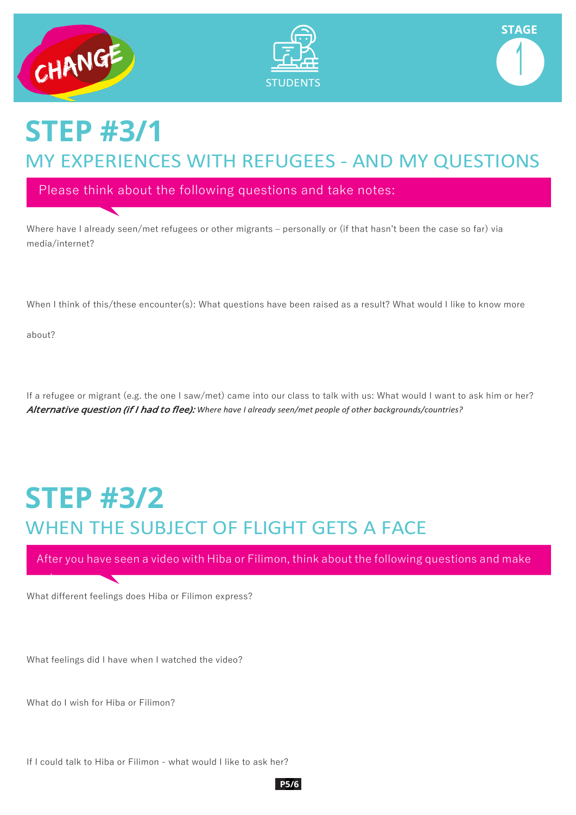





### **STEP #3/1** MY EXPERIENCES WITH REFUGEES - AND MY QUESTIONS

Please think about the following questions and take notes:

Where have I already seen/met refugees or other migrants – personally or (if that hasn't been the case so far) via media/internet?

When I think of this/these encounter(s): What questions have been raised as a result? What would I like to know more

about?

t

If a refugee or migrant (e.g. the one I saw/met) came into our class to talk with us: What would I want to ask him or her? Alternative question (if I had to flee): *Where have I already seen/met people of other backgrounds/countries?*

## **STEP #3/2** WHEN THE SUBJECT OF FLIGHT GETS A FACE

After you have seen a video with Hiba or Filimon, think about the following questions and make

What different feelings does Hiba or Filimon express?

What feelings did I have when I watched the video?

What do I wish for Hiba or Filimon?

If I could talk to Hiba or Filimon - what would I like to ask her?